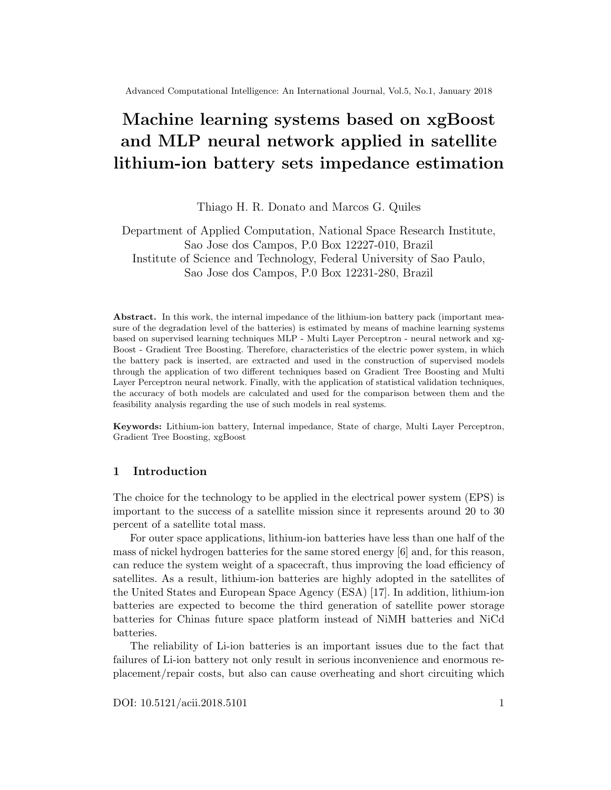# Machine learning systems based on xgBoost and MLP neural network applied in satellite lithium-ion battery sets impedance estimation

Thiago H. R. Donato and Marcos G. Quiles

Department of Applied Computation, National Space Research Institute, Sao Jose dos Campos, P.0 Box 12227-010, Brazil Institute of Science and Technology, Federal University of Sao Paulo, Sao Jose dos Campos, P.0 Box 12231-280, Brazil

Abstract. In this work, the internal impedance of the lithium-ion battery pack (important measure of the degradation level of the batteries) is estimated by means of machine learning systems based on supervised learning techniques MLP - Multi Layer Perceptron - neural network and xg-Boost - Gradient Tree Boosting. Therefore, characteristics of the electric power system, in which the battery pack is inserted, are extracted and used in the construction of supervised models through the application of two different techniques based on Gradient Tree Boosting and Multi Layer Perceptron neural network. Finally, with the application of statistical validation techniques, the accuracy of both models are calculated and used for the comparison between them and the feasibility analysis regarding the use of such models in real systems.

Keywords: Lithium-ion battery, Internal impedance, State of charge, Multi Layer Perceptron, Gradient Tree Boosting, xgBoost

## 1 Introduction

The choice for the technology to be applied in the electrical power system (EPS) is important to the success of a satellite mission since it represents around 20 to 30 percent of a satellite total mass.

For outer space applications, lithium-ion batteries have less than one half of the mass of nickel hydrogen batteries for the same stored energy [6] and, for this reason, can reduce the system weight of a spacecraft, thus improving the load efficiency of satellites. As a result, lithium-ion batteries are highly adopted in the satellites of the United States and European Space Agency (ESA) [17]. In addition, lithium-ion batteries are expected to become the third generation of satellite power storage batteries for Chinas future space platform instead of NiMH batteries and NiCd batteries.

The reliability of Li-ion batteries is an important issues due to the fact that failures of Li-ion battery not only result in serious inconvenience and enormous replacement/repair costs, but also can cause overheating and short circuiting which

DOI: 10.5121/acii.2018.5101 1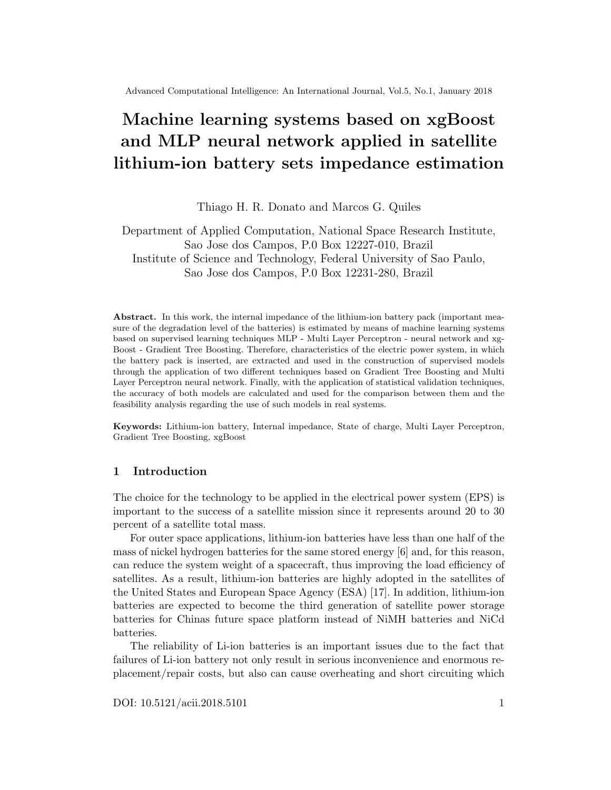can lead to catastrophic consequences, such as explosion. In order to prevent severe failures from occurring, and to optimize Li-ion battery maintenance schedules, breakthroughs in prognostics and health monitoring of Li-ion batteries, with an emphasis on fault detection, correction and remaining-useful-life prediction, must be achieved [20].

Battery PHM has a wide variety of meaning, ranging from irregular manual measurements of voltage and electrolyte specific characteristics to fully automated online observation of various measured and estimated battery parameters. An important battery PHM analysis consists of the measurement of its state of charge (SOC). The state of charge (SOC) of Li-ion battery sets is a function of its internal impedance. Therefore, the state of charge (SOC) can be estimated through the methods described on Section 2 or determined by the battery internal impedance measurement or estimation along the operating cycles, as proposed in this study.

## 2 Li-ion battery state of charge (SOC) estimation

State of charge estimation has always been a big concern for all battery driven devices but its definition presents many different issues [3]. In general, the SOC of a battery is defined as the ratio of its current capacity  $(Q_t)$  to the nominal capacity  $(Q_n)$ . The nominal capacity is given by the manufacturer and represents the maximum amount of charge that can be stored in the battery. The SOC can be defined as follows:

$$
SOC_t = \frac{Q_t}{Q_n}.\tag{1}
$$

Therefore, once the nominal capacity is already defined, the methods described below intend to estimate the actual battery capacity after charge/discharge cycles.

The various mathematical methods of estimation are classified according to methodology. The classification of these SOC estimation methods is different in the various literatures. One approach is according to the following categories [18]:

#### 2.1 Direct measurements

Direct measurement methods refer to some physical battery properties such as the terminal voltage and impedance. Many different direct methods have been employed: open circuit voltage method, terminal voltage method, impedance measurement method, and impedance spectroscopy method.

Open circuit voltage method There is approximately a linear relationship between the  $SOC$  of the lead-acid battery and its open circuit voltage  $(OCV)$  given by: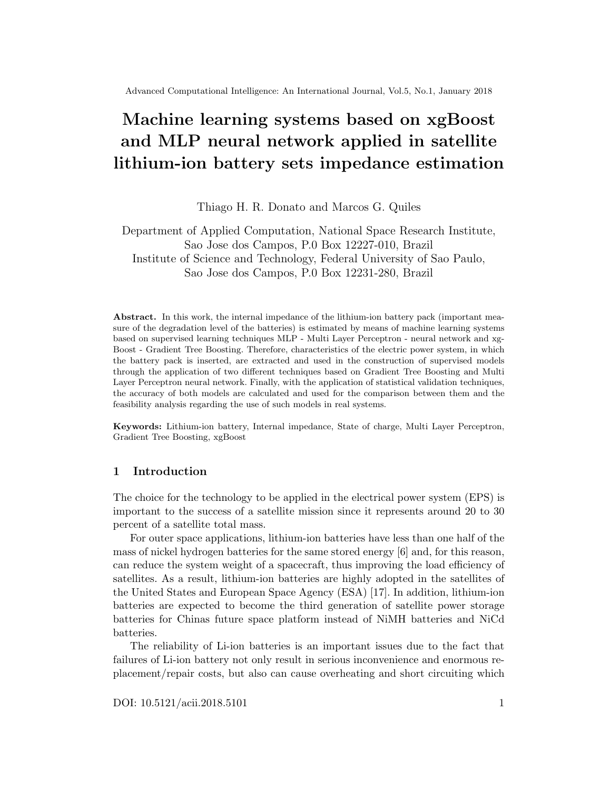$$
OCV(t) = a_1 \quad SOC(t) + a_0:
$$
 (2)

Where  $SOC(t)$  is the SOC of the battery at t,  $a_0$  is the battery terminal voltage when  $SOC = 0$ , and  $a_1$  is obtained from knowing the value of  $a_0$  and  $OCV(t)$  at  $SOC = 1$ . Unlike the lead-acid battery, the Li-ion battery does not have a linear relationship between the OCV and SOC [4].

Terminal voltage method The terminal voltage method is based on the terminal voltage drops because of the internal impedances when the battery is discharging, so the electromotive force  $(EMF)$  of battery is proportional to the terminal voltage. Since the EMF of battery is approximately linear proportional to the SOC, the terminal voltage of battery is also approximately linear proportional to the SOC [15]. The terminal voltage method has been employed at different discharge currents and temperatures but, at the end of battery discharge, the estimated error of terminal voltage method is large, because the terminal voltage of battery suddenly drops at the end of discharge.

Once the Li-ion battery does not have a linear relationship between the  $V_0C$ and SOC, this method is not indicated due to the estimation error.

Impedance spectroscopy method The impedance spectroscopy method measures battery impedances over a wide range of ac frequencies at different charge and discharge currents. The values of the model impedances are found by least-squares fitting to measured impedance values. SOC may be indirectly inferred by measuring present battery impedances and correlating them with known impedances at various SOC levels [10].

Coulomb counting method The Coulomb counting method measures the discharging current of a battery and integrates the discharging current over time in order to estimate  $SOC$ . Coulomb counting method is done to estimate the  $SOC(t)$ which is estimated from the discharging current,  $I(t)$  and previously estimated  $SOC$  values,  $SOC(t \t 1)$ .  $SOC$  is calculated by the following equation:

$$
SOC(t) = SOC(t \t 1) + \frac{I(t)}{Q_n} \t t
$$
\n(3)

#### 2.2 Machine learning systems

Machine learning system consists of an approach which uses pattern recognition and machine learning techniques to detect changes in system states [12]. With this approach, few information regarding to the analyzed system is necessary in order to build prognostic models due to the fact that only the monitored data itself is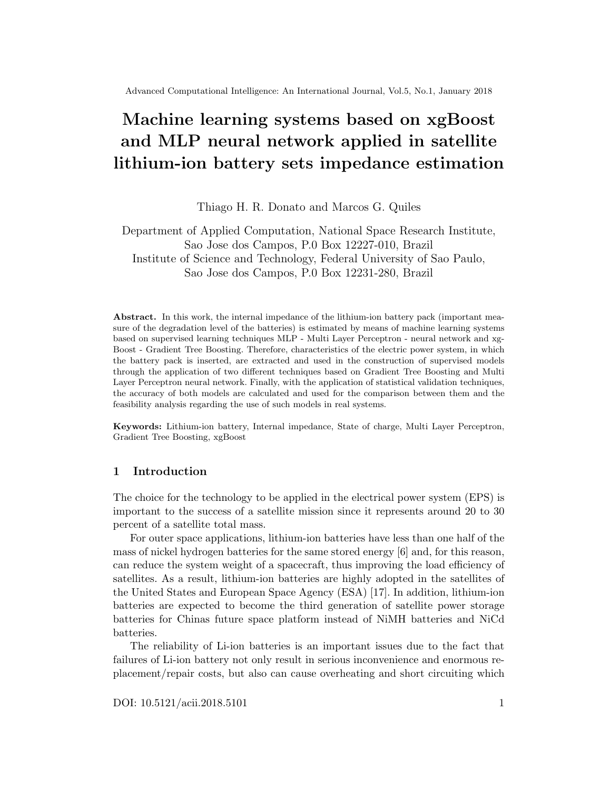necessary to elaborate them. For this reason, machine learning systems are adequate to  $EPS$  systems which are sufficiently complex such that developing an accurate physical model is prohibitively expensive. As batteries have been affected by many chemical factors and have nonlinear SOC, machine learning systems offer good solution for SOC estimation. However, this approach implies in wider confidence intervals than other approaches and requires a substantial amount of data for training.

After the data preparation, a machine learning algorithm shall be selected in order to build the machine learning system. The selection of a proper algorithm for a specific application is a challenging factor in applying data driven prognostics methods. Examples of machine learning algorithms applied in machine learning systems to estimate SOC: back propagation Multi Layer Perceptron neural network  $(MLP)$ , gradient boosting (*xqBoost*), radial basis function (*RBF*), fuzzy logic methods, support vector machine  $(SVM)$ , fuzzy neural network, and Kalman filter [16].

In this study, two machine learning systems were applied: MLP neural network (Section 2.2) and gradient boosting (Section 2.3)

Multi Layer Perceptron In order to build an algorithm capable of classifying a label attribute, the Multi Layer Perceptron (MLP) neural network can be applied. The MLP consists of a feedforward artificial neural network model that can be used in classification or prognostic issues.

The Multi Layer Perceptron network contains three or more layers (an input and an output layer with one or more hidden layers) of nonlinearly-activating neurons. Each neuron combine the inputs multiplied by their correspondent weights and apply an activation function which output is delivered as input of neurons of the following layer [8, Chapter 4].

In many practical applications of artificial neural networks (ANN), there exist natural constraints on the model such as monotonic relations between inputs and outputs that are known in advance. It is advantageous to incorporate these constraints into the ANN structure [19]. The monotonic Multi Layer Perceptron network (MONMLP) is an approach for multi-dimensional function approximation ensuring monotonicity for selected input-output relations. Moreover, we determine the requirements for the network structure regarding universal approximation capabilities.

#### 2.3 Gradient Tree Boosting

Gradient tree boosting is typically used with decision trees (especially CART trees) of a fixed size as base learners. For this special case Friedman proposes a modification to gradient boosting method which improves the quality of fit of each base learner.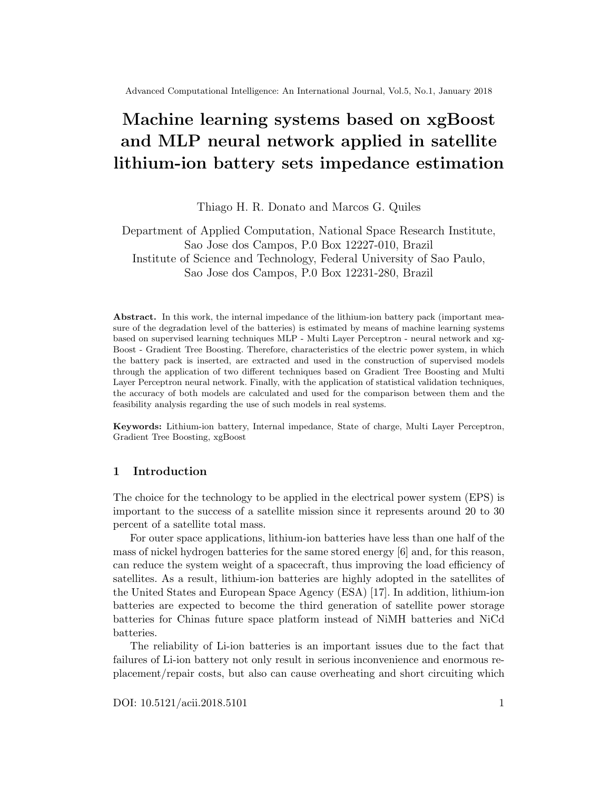Generic gradient boosting at the m th step would fit a decision tree  $h_m(x)$ to pseudo-residuals. Let  $J_m$  be the number of its leaves. The tree partitions the input space into  $J_m$  disjoint regions  $R_{1m}$ ; :::;  $R_{J_m,m}$  and predicts a constant value in each region. Using the indicator notation, the output of  $h_m(x)$  for input x can be written as the sum:

$$
h_m(x) = \sum_{j=1}^{\frac{1}{2}} b_{jm} I(x \ 2 R_{jm}); \tag{4}
$$

where  $b_{jm}$  is the value predicted in the region  $R_{jm}$ .

Then the coefficients  $b_{jm}$  are multiplied by some value  $m$ , chosen using line search so as to minimize the loss function, and the model is updated as follows:

$$
F_m(x) = F_{m-1}(x) + m h_m(x); \qquad m = \arg min_{i=1}^{\chi_0} L(y_i; F_{m-1}(x_i) + h_m(x_i))
$$
 (5)

Friedman proposes to modify this algorithm so that it chooses a separate optimal value  $\mu_{m}$  for each of the tree's regions, instead of a single  $\mu_{m}$  for the whole tree. He calls the modified algorithm "TreeBoost" [7]. The coefficients  $b_{jm}$  from the treefitting procedure can be then simply discarded and the model update rule becomes:

$$
F_m(x) = F_{m-1}(x) + \sum_{j=1}^{\frac{1}{2}m} j_m I(x \ 2 \ R_{jm}); \quad j_m = \ arg min \sum_{x_i \in R_{jm}} L(y_i; F_{m-1}(x_i) +)
$$
(6)

Root Mean Square Error Machine learning systems apply machine learning techniques in a supervised approach. Considering a numeric label attribute in the estimative of the battery set impedance, each observed value can be compared with the predicted one. This individual deviation is called a residual and the aggregation of all the residuals is denominated the Root Mean Square Error (RMSE), obtained as follows [9]:

$$
RMSE = \frac{\sum_{t=1}^{S} \frac{P_{n}}{(f_t - y_t)^2}}{n}
$$
 (7)

Where:

 $\{ \hat{y}_t \text{: predicted instance} \}$ 

 $\{y_t:$  observed instance

{ n: number of instances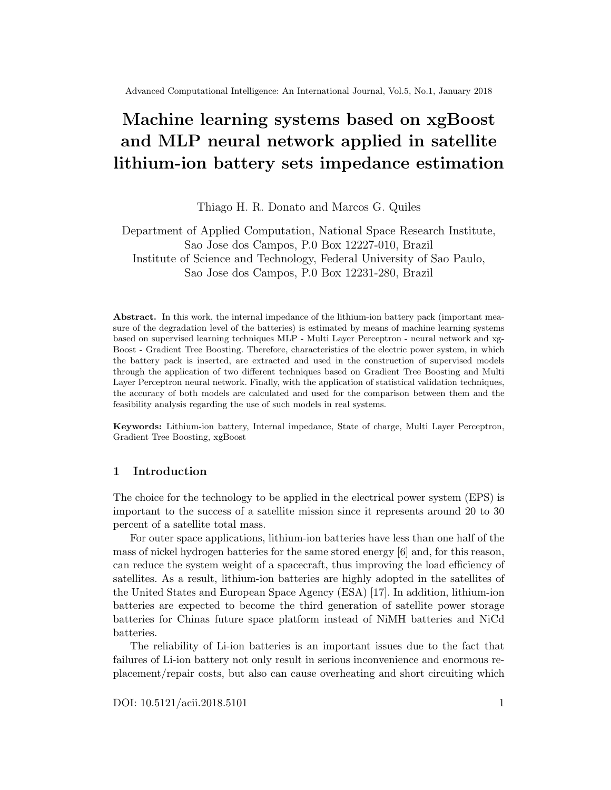# 2.4 Li-ion battery state of charge (SOC) based on battery internal impedance

According to the definition of the SOC, the function which provides the battery state of charge based on battery internal impedance is obtained as follows:

$$
SOC_t = SOC_{t0} + \frac{Z_t}{t0} \left( \frac{I}{C_t} \right) d_t
$$
 (8)

Where:

- $\{ SOC_{0}$ : estimated SOC at time to, when the estimation process starts
- $\{ SOC_t : \text{estimated SOC at time } t \}$
- { : current efficiency
- { I: current assumed to be positive when charging
- ${C_n:}$  capacity of the battery at time t

In this study, the battery impedance is obtained through the machine learning systems (see Section 2.2) which can be applied in the determination of battery state of charge (SOC).

Bagging optimization According to bagging optimization method, a training set *Dofsizen* is divided into  $m$  new training sets  $D_i$ ; eachofsizen, by sampling from D uniformly and with replacement. Sampling the  $m$  new training sets with replacement, implies that some observations may be repeated in each  $D_i[1]$ :

This kind of sample is also known as bootstrap sample. In order to obtain the resulting ensemble of models, the  $m$  models are fitted using the above  $m$  bootstrap samples. Finally, all the models are applied to the scoring set and the labels are combined by averaging the output (for regression) or voting (for classification).

# 3 Machine learning systems for Li-ion battery impedance estimation

This study applies two machine learning systems (MLP neural network - Section 2.2 and gradient boosting - Section 2.3) in order to estimate the battery internal impedance and compares the obtained results.

To perform the comparison between the two machine learning systems, a battery testing database provided by NASA Ames Research Center [14] was used as data set. The database comprises sensor monitoring data of Li-ion batteries mounted in batches of 4 and running through 3 different operational profiles (charge, discharge and impedance) at ambient temperatures of 4, 24 and 44 Celsius degrees (see Section 4).

From the analyzed data set, features were selected to characterize the battery condition during a certain period of time (see Section 5). After the development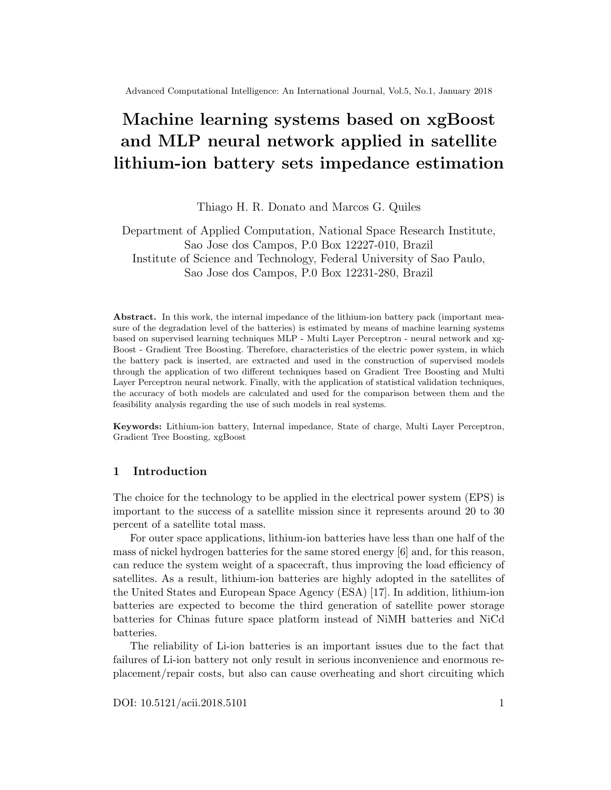of the data set, machine learning systems are trained (see Section 6), Root Mean Square Error (RMSE) performance metric is used to evaluate the obtained machine learning systems (see Section 9) and, if the performance criteria are achieved, they can be considered feasible solutions to estimate the battery internal impedance in an online basis.

#### 4 Data preparation for Li-ion battery impedance estimation

Battery impedance, which decreases over the working time of a battery, is an important and direct indicator for estimating battery state of charge (SOC). In online or in-orbit applications, such as electric vehicles and satellites, the battery internal impedance measurement or monitoring is difficult [11]. It can be used charge transfer resistance and electrolyte resistance extracted from EIS to estimate battery capacity [14]. However, these features can only be obtained via offline tests under the optimal measuring conditions and by using specialized and expensive equipment for EIS measurements [5]. The results of the aging experiment showed that increase in battery capacity loss or resistance in a lifetime is related to operating conditions, such as voltage, current, and temperature. However, in practical applications, several characteristics, such as current and voltage, are controlled to meet the load requirements of an associated circuit and thus cannot represent battery aging [13].

#### 4.1 Li-ion battery testing set information

The following sections apply machine learning techniques in Li-ion battery impedance estimation using battery data provided by National Aeronautics and Space Administration (NASA) Ames Prognostics Center of Excellence [14], where 134 rechargeable lithium-ion batteries were tested.

The laboratory setup and data recording were conducted by National Aeronautics and Space Administration (NASA) Ames Prognostics Center of Excellence [14]. According to NASA experiment, the 134 rechargeable lithium-ion batteries are organized in 34 battery sets. Each battery set contains the test data organized according to Figure 2.

## 4.2 Laboratory setup

The experimental setup primarily consists of a set of Li-ion cells (which may reside either inside or outside an environmental chamber), chargers, loads, EIS equipment for battery health monitoring (BHM), a suite of sensors (voltage, current and temperature), some custom switching circuitry, data acquisition system and a computer for control and analysis. Figure 1 details the assembly of the equipment.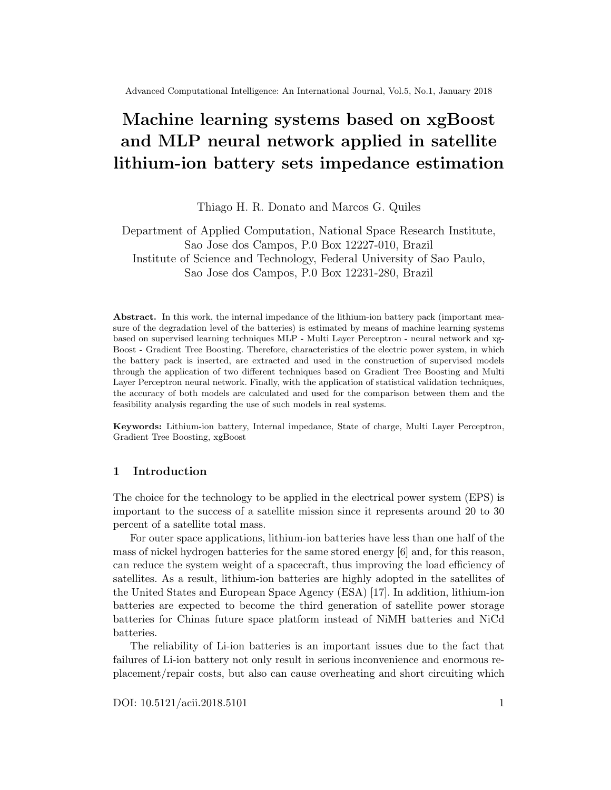

Fig. 1. Laboratory setup [14]

The cells are cycled through charge and discharge cycles under different load and environmental conditions set by the electronic load and environmental chamber respectively. Periodically EIS measurements will be taken to monitor the internal condition of the battery using the BHM module. The DAQ system collects the externally observable parameters from the sensors. The switching circuitry enables the cells to be in the charge, discharge or EIS health monitoring state as dictated by the algorithms running on the control computer [14].

## 4.3 Li-ion battery testing set information

The Li-ion batteries are organized in batches of 4 are run through 3 different operational profiles (charge, discharge and impedance) at ambient temperatures of 4, 24 and 44 oC [14]:

- 1. Charge step: charging was carried out in a constant current (CC) mode at 1.5A until the battery voltage reached 4.2V and then continued in a constant voltage (CV) mode until the charge current dropped to 20mA
- 2. Discharge step: discharging was conducted in CC mode until the discharge voltage reached a predefined cutoff voltage. Fixed and variable load currents at 1, 2, and 4 Amps were used and the discharge runs were stopped at 2V, 2.2V, 2.5V or 2.7V
- 3. Impedance measurement: measurement was performed through an electrochemical impedance spectroscopy (EIS) frequency sweep from 0.1 Hz to 5 kHz

Figure 2 details the battery data structure of the operational profiles.

## 4.4 Li-ion battery impedance measurement recti er

In order to eliminate the noise generated by time-varying current passing through an electro-chemical cell or battery due to load fluctuation, a filtering approach or an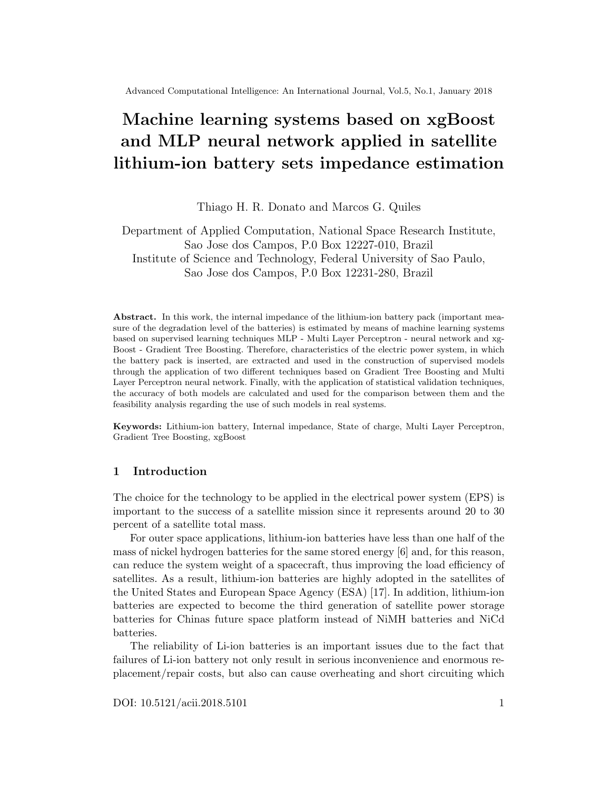

Fig. 2. Data structure [14]

electronic cancellation technique shall be applied. In the laboratory setup described above, it was used an electronic device.

Time-varying current flowing in a circuit which includes the cell/battery is sensed externally to the cell/battery with a magnetically-coupled ac current probe thereby producing an induced time-varying signal. This induced signal is amplified to the level of the original time-varying current and applied to the cell/battery's terminals in phase-opposition to the original current. As a result, the component of time-varying current flowing in the cell/battery's external leads assumes an alternate path around the cell/battery and is effectively canceled within the cell/battery itself [2].

#### 5 Features selection for Li-ion battery impedance estimation

In this study, the 134 rechargeable lithium-ion batteries are organized in 34 battery sets. Each battery set contains the test data according to Figure 2. For each C-D (charge and discharge) cycle, the following features were extracted [20]:

- { F1: during charge cycle, time interval between the nominal voltage and the cutoff voltage
- { F2: during charge cycle, time interval between the nominal current and the cutoff current
- { F3: during discharge cycle, time interval between two predefined voltages
- { F4: average temperature during the time interval F1
- { F5: average temperature during the time interval F2
- { F6: during discharge cycle, cutoff voltage

The historical set applied in the machine learning systems modeling includes the six features (F1, F2, F3, F4, F5 and F6) and the label attribute which corresponds to the rectified battery impedance. For each machine learning system, two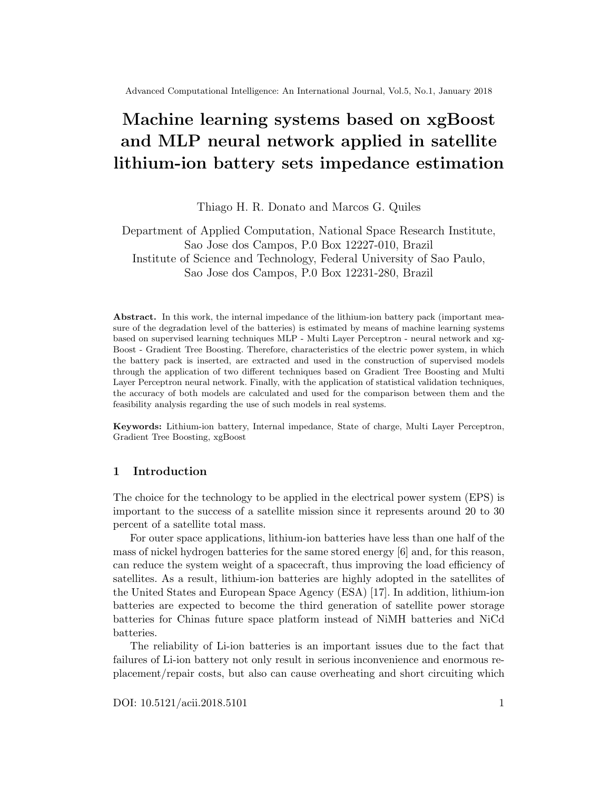regression models are built in order to estimate the real and imaginary components of the rectified impedance. Tables 1 and 2 are extractions of the historical sets corresponding to the real and imaginary components which contain 20 records (C-D cycles) for each one of the 34 battery sets (684 records - C-D cycles, in total).

Table 1. Historical set - impedance real component

cycle F1 F2 F3 F4 F5 F6 imp re 4 1 9966.407 6422.609 472.313 27.0074 26.3008 2.4556 0.06175 4 2 10226.375 6627.891 472.125 25.6742 26.5323 2.6321 0.05989 4 3 10635.968 6528.063 472.344 25.6754 26.3325 2.5010 0.05919

Table 2. Historical set - impedance imaginary component

cycle F1 F2 F3 F4 F5 F6 imp img 4 1 9966.407 6422.609 472.313 27.0074 26.3008 2.4556 -0.00096 4 2 10226.375 6627.891 472.125 25.6742 26.5323 2.6321 -0.00112 4 3 10635.968 6528.063 472.344 25.6754 26.3325 2.5010 -0.00105

#### 6 Li-ion battery impedance data modeling

After the data preparation, two machine learning techniques (MLP neural network - Section 2.2 and gradient boosting - Section 2.3) are applied in order to estimate the battery internal impedance. For each applied technique, a few training cycles are executed with the variation of the technique hyperparameters. Therefore, each training cycle generates a regression model which can be compared with the other obtained regression models by the application of the RMSE (Root Mean Square Error) validation technique, according to Section 2.3.

#### 7 MLP neural network with monotonicity constraints modeling

Tables 1 and 2 are used to build two regression models based on MLP neural network technique (Section 2.2).

Multi Layer Perceptron neural network with monotonicity constraints implements one hidden-layer Multi Layer Perceptron neural network (MLP) models that enforces monotonic relations on designated input variables. Each training cycle applies 10 or 20 ensemble members to fit and 1, 2, 3 or 4 hidden nodes in the hidden layer.

The ensemble members to fit in each training cycle are obtained according to Section 2.4. Each ensemble member contains a random subset of 70 percent of the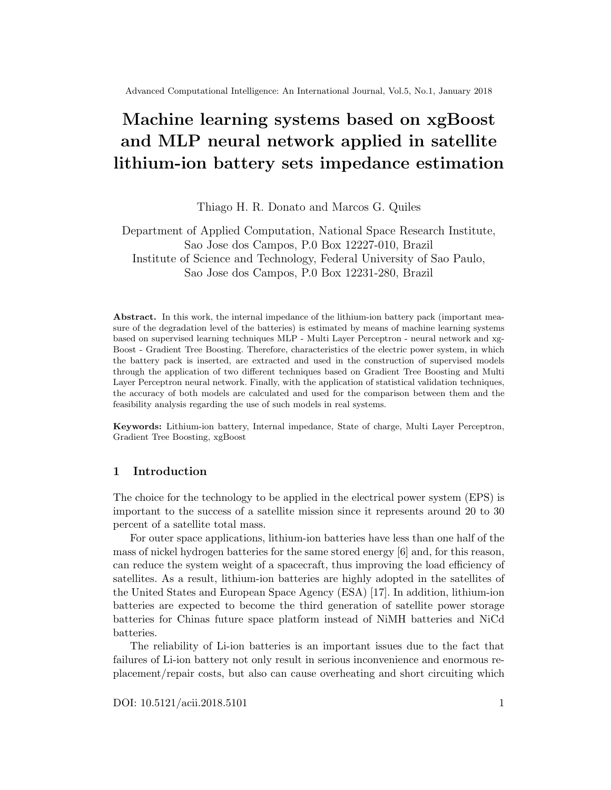training set and, after generating the 10 or 20 regression models (depending on the number of ensemble members to fit), the result corresponds to the mean value obtained through the application of all regression models.

These training cycles with different combinations result into different MLP neural networks with monotonicity constraints. These different combinations of the hyperparameters are described in Table 3.

| Hyperparameter Description |                                                                 | Possible values |  |
|----------------------------|-----------------------------------------------------------------|-----------------|--|
| hidden1                    | number of hidden nodes in the first hidden layer $ 1, 2, 3, 4 $ |                 |  |
| n.ensemble                 | number of ensemble members to fit                               | 10, 20          |  |
| monotone                   | column indices of covariates for which the                      |                 |  |
|                            | monotonicity constraint should hold                             |                 |  |
| bag                        | logical variable indicating whether or not                      |                 |  |
|                            | bootstrap aggregation (bagging) should                          | TRUE            |  |
|                            | be used                                                         |                 |  |
| iter.max                   | maximum number of iterations of                                 | 500             |  |
|                            | the optimization algorithm                                      |                 |  |

Table 3. MLP neural network with monotonicity constraints hyperparameters

# 7.1 MLP neural network modeling with monotonicity constraints and 10 ensemble members to t

Estimative of real component of battery set impedance Using the backpropagation algorithm to update the MLP neural network weights, monotonicity constraints, 10 ensemble members to fit and using different numbers of hidden nodes in the hidden layer  $(1, 2, 3 \text{ or } 4)$ , the real component of the battery impedance through the cycles is according the Figure 3.

Estimative of imaginary component of battery set impedance Using the backpropagation algorithm to update the MLP neural network weights, monotonicity constraints, 10 ensemble members to fit and using different numbers of hidden nodes in the hidden layer  $(1, 2, 3 \text{ or } 4)$ , the imaginary component of the battery impedance through the cycles is according the Figure 4.

# 7.2 MLP neural network modeling with monotonicity constraints and 20 ensemble members to t

Estimative of real component of battery set impedance Using the backpropagation algorithm to update the MLP neural network weights, monotonicity constraints, 20 ensemble members to fit and using different numbers of hidden nodes in the hidden layer  $(1, 2, 3 \text{ or } 4)$ , the real component of the battery impedance through the cycles is according the Figure 5.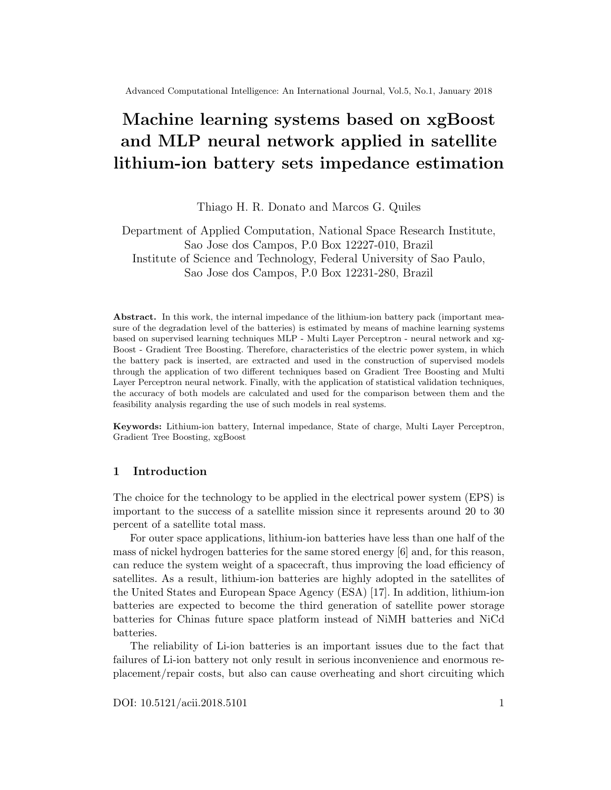

Fig. 3. Estimated real component of battery set impedance using MLP neural network modeling with monotonicity constraints and 10 ensemble members to fit



Fig. 4. Estimated imaginary component of battery set impedance using MLP neural network modeling with monotonicity constraints and 10 ensemble members to fit

Estimative of imaginary component of battery set impedance Using the backpropagation algorithm to update the MLP neural network weights, monotonicity constraints, 20 ensemble members to fit and using different numbers of hidden nodes in the hidden layer  $(1, 2, 3 \text{ or } 4)$ , the imaginary component of the battery impedance through the cycles is according the Figure 6.

# 7.3 MLP neural network with monotonicity constraints model validation

Applying the RMSE (Root Mean Square Error) validation technique, according to Section 2.3, each model developed with the application of Multi Layer Perceptron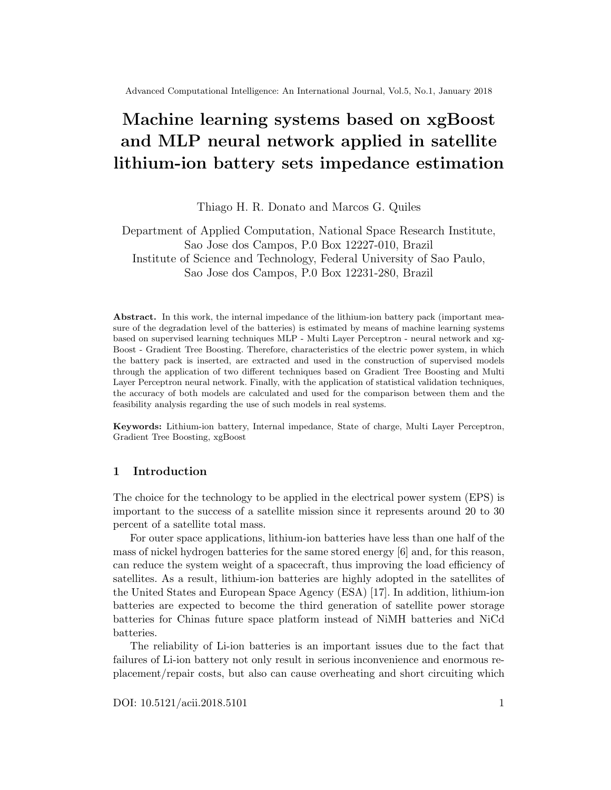

Fig. 5. Estimated real component of battery set impedance using MLP neural network modeling with monotonicity constraints and 20 ensemble members to fit



Fig. 6. Estimated imaginary component of battery set impedance using MLP neural network modeling with monotonicity constraints and 20 ensemble members to fit

technique in the estimative of real and imaginary components of the battery set impedance was evaluated and the corresponding RMSE values are presented in Table 4.

Increasing the number of ensemble members to fit, there was no impact on the root square mean error for estimating the real component of battery set impedance. However, a higher number of ensemble members to fit minimized the root square mean error for estimating the imaginary component of battery set impedance.

According to Table 4, a higher number of hidden nodes on the hidden layer minimizes the root square mean error for estimating the real and imaginary components of battery set impedance.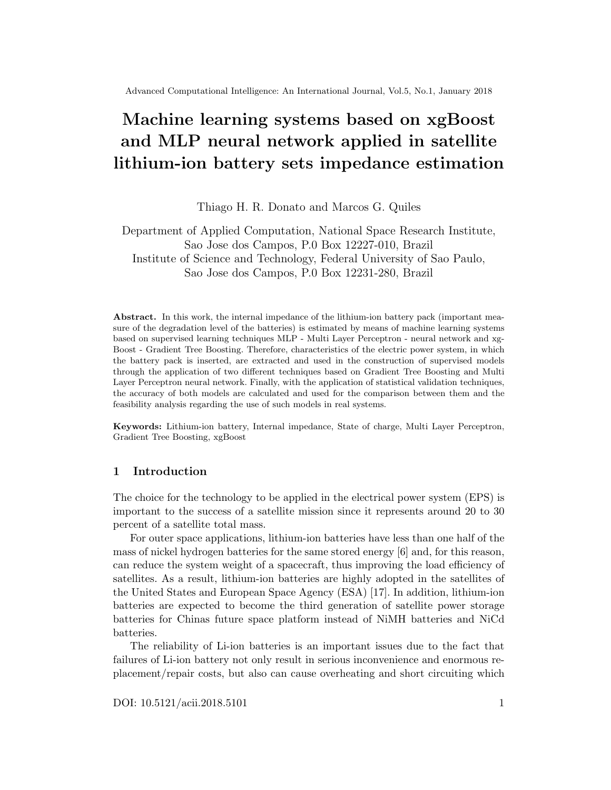|           | Battery impedance Ensemble members to fit Hidden nodes on layer RMSE |   |              |
|-----------|----------------------------------------------------------------------|---|--------------|
| real      | 20                                                                   |   | 0.0161220600 |
| real      | 20                                                                   |   | 0.0124101700 |
| real      | 20                                                                   |   | 0.0100222800 |
| real      | 20                                                                   | 4 | 0.0094165090 |
| imaginary | 20                                                                   |   | 0.0011236520 |
| imaginary | 20                                                                   |   | 0.0007225610 |
| imaginary | 20                                                                   |   | 0.0004410664 |
| imaginary | 20                                                                   |   | 0.0003257367 |

Table 4. MLP neural network with monotonicity constraints model validation

The MLP models with the lower root square mean error in estimating the real and imaginary components of battery set impedance have the configuration of 20 ensemble members to fit and 4 hidden nodes on the hidden layer and an RMSE error of 0.0094165090 and 0.0003257367, respectively.

## 8 Gradient boosting modeling

Tables 1 and 2 are used to build two regression models based on gradient boosting technique (Section 2.3). The training set is divided into training and validation sets. The validation set is used to evolve the regression models during each gradient boosting iteration. Each training cycle applies an 'eta' equal to 0.20 or 0.60 to control the learning rate and a subsample ratio of the training instances of 0.80, 0.85, 0.90 or 0.95.

These training cycles with different combinations result into different gradient boosting models. These different combinations of the hyperparameters are described in Table 5.

| Hyperparameter Description |                                           | $\overline{\text{Pos}}$ sible values |  |
|----------------------------|-------------------------------------------|--------------------------------------|--|
| objective                  | objective function                        | reg:linear                           |  |
| max_depth                  | maximum depth of a tree                   | 10                                   |  |
| leta                       | control the learning rate: scale          |                                      |  |
|                            | contribution of each tree by a factor     | 0.20, 0.60                           |  |
|                            | of $0 \lt$ eta $\lt 1$                    |                                      |  |
| col_sample                 | subsample ratio of columns                | 0.80                                 |  |
|                            | when constructing each tree               |                                      |  |
| ss_sample                  | subsample ratio of the training instance. |                                      |  |
|                            | 0.5 means that xgboost randomly           | 0.80, 0.85, 0.90, 0.95               |  |
|                            | collected half of the data to grow trees  |                                      |  |
|                            | and this will prevent overfitting         |                                      |  |
| $\alpha$ leval_metric      | evaluation metric per validation cycle    | root mean square error               |  |
| Inrounds                   | the max number of validation cycles       | 200                                  |  |

Table 5. Gradient boosting hyperparameters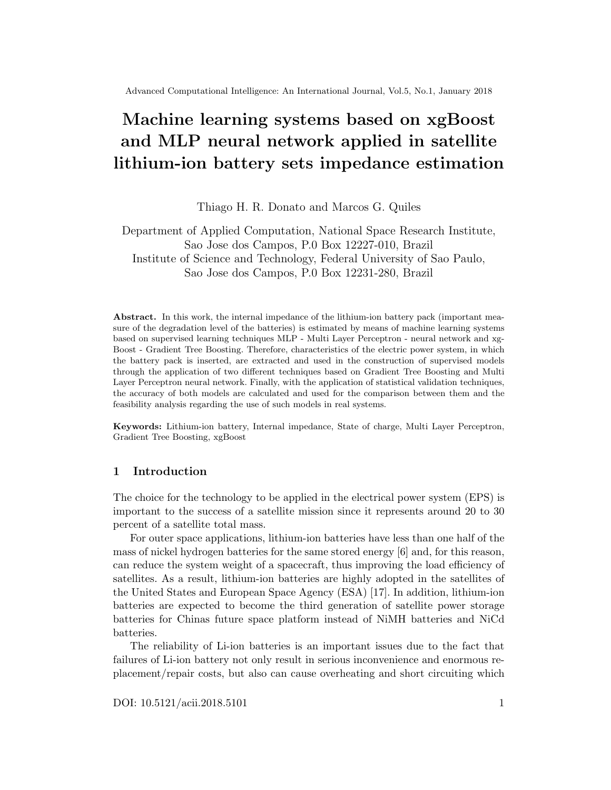The hyperparameter 'eta' has an important role in the gradient boosting modeling since it controls the learning rate. This parameter scales the contribution of each tree by a factor between 0 and 1 when it is added to the current approximation. It is used to prevent overfitting by making the boosting process more conservative. Lower value for 'eta' implies larger value for 'nrounds': low 'eta' value means model more robust to overfitting but slower to compute.

#### 8.1 Gradient boosting modeling with  $eta = 0.20$

Estimating real component of battery set impedance Building an ensemble of decision trees in which each decision tree is built in order to minimize the error of the previous one (gradient boosting method), setting the maximum depth of the trees to 10, applying the root mean square error method as a metric to evolve the model with the validation set, controlling the learning rate through 'eta' of 0.20 and subsetting the training set instances with distinct ratios (0.80, 0.85, 0.90 or 0.95), the real component of the battery impedance through the cycles is according the Figure 7.



Fig. 7. Estimated real component of battery set impedance using gradient boosting modeling with  $eta = 0.20$ 

Estimating imaginary component of battery set impedance Building an ensemble of decision trees in which each decision tree is built in order to minimize the error of the previous one (gradient boosting method), setting the maximum depth of the trees to 10, applying the root mean square error method as a metric to evolve the model with the validation set, controlling the learning rate through 'eta' of 0.20 and subsetting the training set instances with distinct ratios (0.80,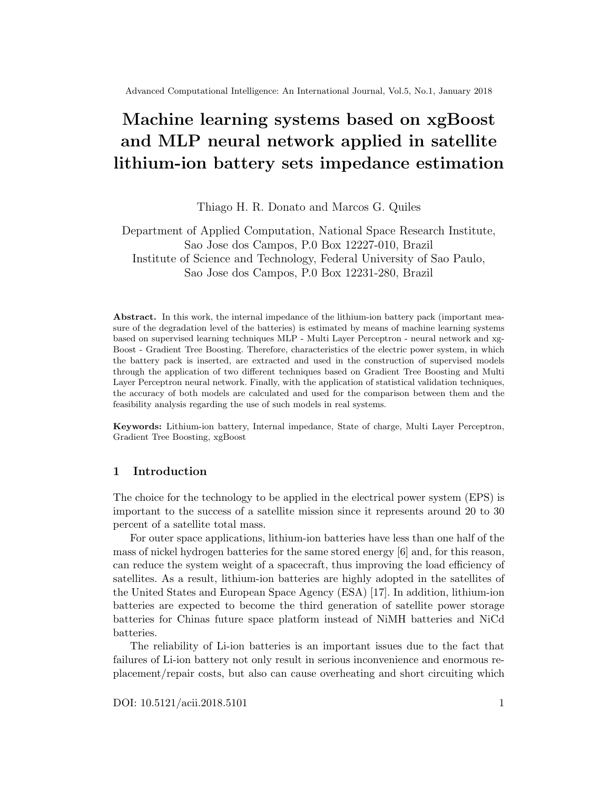0.85, 0.90 or 0.95), the imaginary component of the battery impedance through the cycles is according the Figure 8.



Fig. 8. Estimated imaginary component of battery set impedance using gradient boosting modeling with  $eta = 0.20$ 

## 8.2 Gradient boosting modeling with  $eta = 0.60$

Estimating real component of battery set impedance Building an ensemble of decision trees in which each decision tree is built in order to minimize the error of the previous one (gradient boosting method), setting the maximum depth of the trees to 10, applying the root mean square error method as a metric to evolve the model with the validation set, controlling the learning rate through 'eta' of 0.60 and subsetting the training set instances with distinct ratios (0.80, 0.85, 0.90 or 0.95), the real component of the battery impedance through the cycles is according the Figure 9.

Estimating imaginary component of battery set impedance Building an ensemble of decision trees in which each decision tree is built in order to minimize the error of the previous one (gradient boosting method), setting the maximum depth of the trees to 10, applying the root mean square error method as a metric to evolve the model with the validation set, controlling the learning rate through 'eta' of 0.60 and subsetting the training set instances with distinct ratios (0.80, 0.85, 0.90 or 0.95), the imaginary component of the battery impedance through the cycles is according the Figure 10.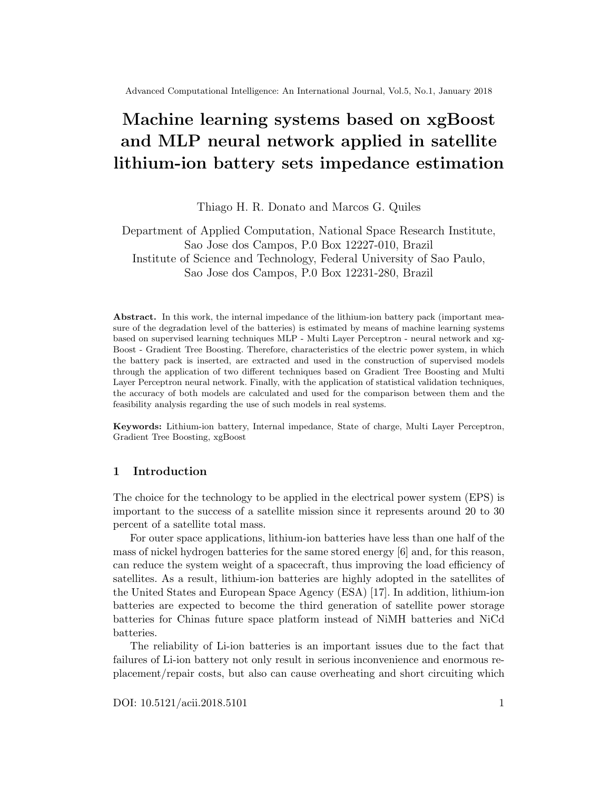

Fig. 9. Estimated real component of battery set impedance using gradient boosting modeling with  $eta = 0.60$ 



Fig. 10. Estimated imaginary component of battery set impedance using gradient boosting modeling with  $eta = 0.60$ 

# 8.3 Gradient boosting model validation

Applying the RMSE (Root Mean Square Error) validation technique, according to Section 2.3, each model developed with the application of Gradient boosting technique in the estimating real and imaginary components of the battery set impedance was evaluated and the corresponding RMSE values are presented in Table 6.

A lower 'eta' minimizes the root square mean error for estimating the real and imaginary components of battery set impedance. According to Table 6, increasing the number of instances to be used in the training process, there was a decrease on the root square mean error for estimating the real component of battery set impedance. However, a higher number of instances to be used in the training process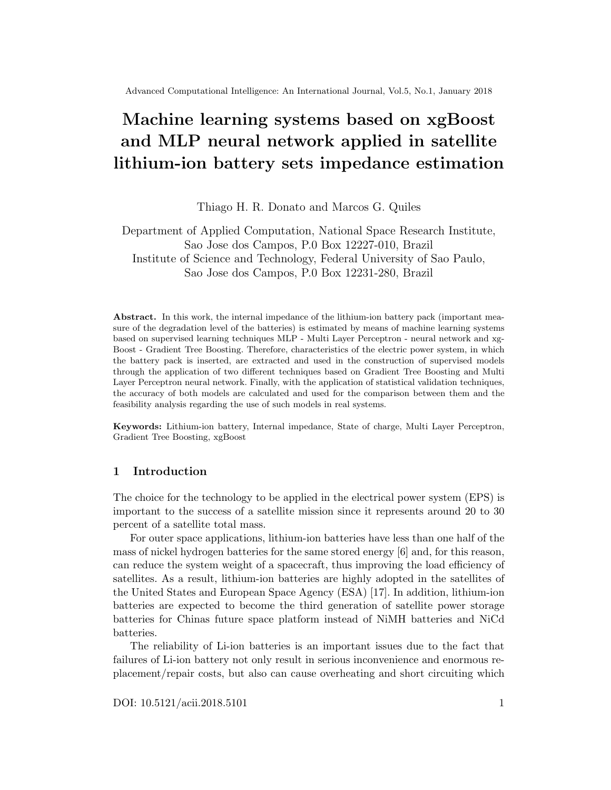|           | Battery impedance 'eta' - Learning rate Subsample ratio RMSE |                |              |
|-----------|--------------------------------------------------------------|----------------|--------------|
| real      | 0.20                                                         | $ 0.80\rangle$ | 0.0057317940 |
| real      | 0.20                                                         | $ 0.85\rangle$ | 0.0044927730 |
| real      | 0.20                                                         | $ 0.90\rangle$ | 0.0034616720 |
| real      | 0.20                                                         | $ 0.95\rangle$ | 0.0028836380 |
| imaginary | 0.20                                                         | $ 0.80\rangle$ | 0.0003310718 |
| imaginary | 0.20                                                         | $ 0.85\rangle$ | 0.0006632989 |
| imaginary | 0.20                                                         | $ 0.90\rangle$ | 0.0005046742 |
| imaginary | 0.20                                                         | 0.95           | 0.0001962272 |

Table 6. Gradient boosting model validation

maximized the root square mean error for estimating the imaginary component of battery set impedance.

The Gradient boosting models with the lower root square mean error in estimating the real and imaginary components of battery set impedance have the configuration of 'eta'=0.20 and a subsample ratio of 0.95 and an RMSE error of 0.0028836380 and 0.0001962272, respectively.

## 9 Li-ion battery impedance model validation

According to RMSE validation technique (see Section 2.3), the Multi Layer Perceptron model with the higher performance (20 ensemble members to fit and 4 hidden nodes on the hidden layer) and the Gradient Tree Boosting model with the higher performance ('eta'=0.20 and a subsample ratio of 0.95) are compared in 11 regarding the estimation of the real and imaginary components of the battery set impedance.



Fig. 11. RMSE State of charge (SOC) model validation